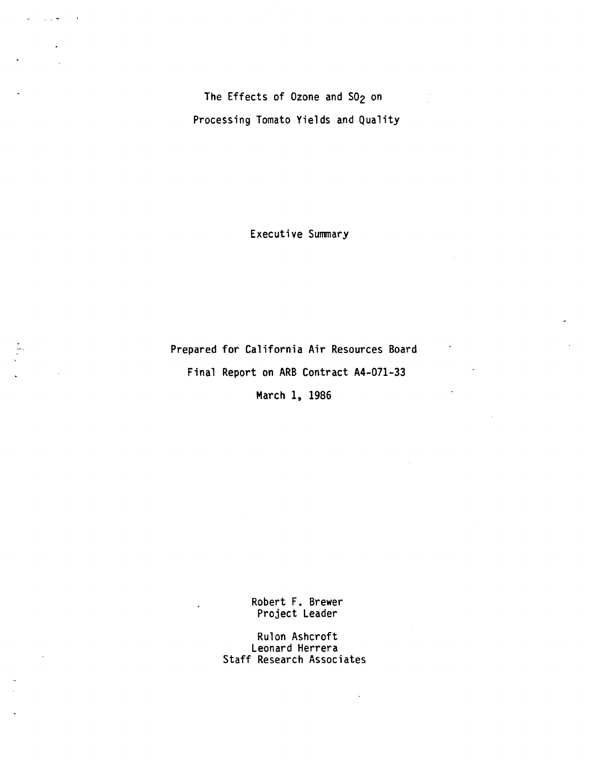The Effects of Ozone and SO<sub>2</sub> on Processing Tomato Yields and Quality

 $\sim$   $\sim$ 

Executive Summary

Prepared for California Air Resources Board Final Report on ARB Contract A4-071-33

March 1, 1986

Robert F. Brewer Project Leader

Rulon Ashcroft Leonard Herrera Staff Research Associates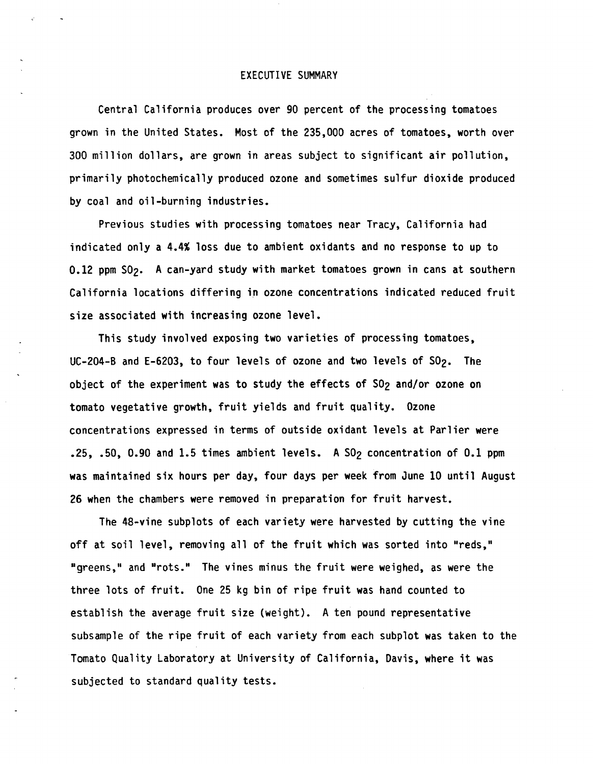## EXECUTIVE SUMMARY

Central California produces over 90 percent of the processing tomatoes grown in the United States. Most of the 235,000 acres of tomatoes, worth over 300 million dollars, are grown in areas subject to significant air pollution, primarily photochemically produced ozone and sometimes sulfur dioxide produced by coal and oil-burning industries.

Previous studies with processing tomatoes near Tracy, California had indicated only a 4.4% loss due to ambient oxidants and no response to up to 0.12 ppm SO<sub>2</sub>. A can-yard study with market tomatoes grown in cans at southern California locations differing in ozone concentrations indicated reduced fruit size associated **with** increasing ozone level.

This study involved exposing two varieties of processing tomatoes, UC-204-B and E-6203, to four levels of ozone and two levels of S02. The object of the experiment was to study the effects of S02 and/or ozone on tomato vegetative growth, fruit yields and fruit quality. Ozone concentrations expressed in terms of outside oxidant levels at Parlier were .25, .50, 0.90 and 1.5 times ambient levels. A SO<sub>2</sub> concentration of 0.1 ppm was maintained six hours per day, four days per week from June 10 until August 26 when the chambers were removed in preparation for fruit harvest.

The 48-vine subplots of each variety were harvested by cutting the vine off at soil level, removing all of the fruit which was sorted into "reds," "greens," and "rots." The vines minus the fruit were weighed, as were the three lots of fruit. One 25 kg bin of ripe fruit was hand counted to establish the average fruit size (weight). A ten pound representative subsample of the ripe fruit of each variety from each subplot was taken to the Tomato Quality Laboratory at University of California, Davis, **where** it was subjected to standard quality tests.